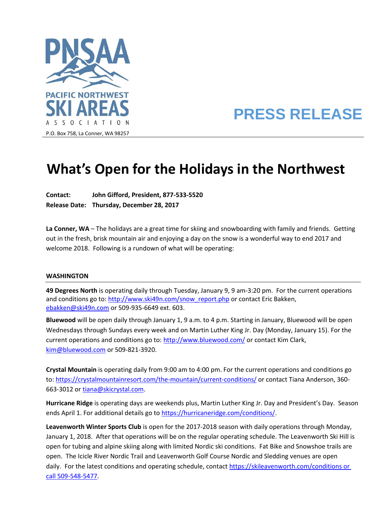

# **PRESS RELEASE**

#### P.O. Box 758, La Conner, WA 98257

# **What's Open for the Holidays in the Northwest**

**Contact: John Gifford, President, 877-533-5520 Release Date: Thursday, December 28, 2017**

**La Conner, WA** – The holidays are a great time for skiing and snowboarding with family and friends. Getting out in the fresh, brisk mountain air and enjoying a day on the snow is a wonderful way to end 2017 and welcome 2018. Following is a rundown of what will be operating:

#### **WASHINGTON**

**49 Degrees North** is operating daily through Tuesday, January 9, 9 am-3:20 pm. For the current operations and conditions go to: [http://www.ski49n.com/snow\\_report.php](http://www.ski49n.com/snow_report.php) or contact Eric Bakken, [ebakken@ski49n.com](mailto:ebakken@ski49n.com) or 509-935-6649 ext. 603.

**Bluewood** will be open daily through January 1, 9 a.m. to 4 p.m. Starting in January, Bluewood will be open Wednesdays through Sundays every week and on Martin Luther King Jr. Day (Monday, January 15). For the current operations and conditions go to:<http://www.bluewood.com/> or contact Kim Clark, [kim@bluewood.com](mailto:kim@bluewood.com) or 509-821-3920.

**Crystal Mountain** is operating daily from 9:00 am to 4:00 pm. For the current operations and conditions go to:<https://crystalmountainresort.com/the-mountain/current-conditions/> or contact Tiana Anderson, 360- 663-3012 or [tiana@skicrystal.com.](mailto:tiana@skicrystal.com)

**Hurricane Ridge** is operating days are weekends plus, Martin Luther King Jr. Day and President's Day. Season ends April 1. For additional details go to [https://hurricaneridge.com/conditions/.](https://hurricaneridge.com/conditions/)

**Leavenworth Winter Sports Club** is open for the 2017-2018 season with daily operations through Monday, January 1, 2018. After that operations will be on the regular operating schedule. The Leavenworth Ski Hill is open for tubing and alpine skiing along with limited Nordic ski conditions. Fat Bike and Snowshoe trails are open. The Icicle River Nordic Trail and Leavenworth Golf Course Nordic and Sledding venues are open daily. For the latest conditions and operating schedule, contact https://skileavenworth.com/conditions or [call 509-548-5477.](https://skileavenworth.com/conditions%20or%20call%20509-548-5477)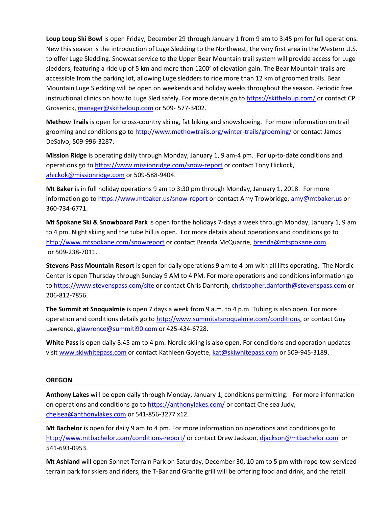**Loup Loup Ski Bowl** is open Friday, December 29 through January 1 from 9 am to 3:45 pm for full operations. New this season is the introduction of Luge Sledding to the Northwest, the very first area in the Western U.S. to offer Luge Sledding. Snowcat service to the Upper Bear Mountain trail system will provide access for Luge sledders, featuring a ride up of 5 km and more than 1200' of elevation gain. The Bear Mountain trails are accessible from the parking lot, allowing Luge sledders to ride more than 12 km of groomed trails. Bear Mountain Luge Sledding will be open on weekends and holiday weeks throughout the season. Periodic free instructional clinics on how to Luge Sled safely. For more details go to<https://skitheloup.com/> or contact CP Grosenick[, manager@skitheloup.com](mailto:manager@skitheloup.com) or 509- 577-3402.

**Methow Trails** is open for cross-country skiing, fat biking and snowshoeing. For more information on trail grooming and conditions go to<http://www.methowtrails.org/winter-trails/grooming/> or contact James DeSalvo, 509-996-3287.

**Mission Ridge** is operating daily through Monday, January 1, 9 am-4 pm. For up-to-date conditions and operations go to<https://www.missionridge.com/snow-report> or contact Tony Hickock, [ahickok@missionridge.com](mailto:ahickok@missionridge.com) or 509-588-9404.

**Mt Baker** is in full holiday operations 9 am to 3:30 pm through Monday, January 1, 2018. For more information go to<https://www.mtbaker.us/snow-report> or contact Amy Trowbridge[, amy@mtbaker.us](mailto:amy@mtbaker.us) or 360-734-6771.

**Mt Spokane Ski & Snowboard Park** is open for the holidays 7-days a week through Monday, January 1, 9 am to 4 pm. Night skiing and the tube hill is open. For more details about operations and conditions go to <http://www.mtspokane.com/snowreport> or contact Brenda McQuarrie[, brenda](mailto:brenda@mtspokane.com)[@mtspokane.com](mailto:groupsales@mtspokane.com) or 509-238-7011.

**Stevens Pass Mountain Resort** is open for daily operations 9 am to 4 pm with all lifts operating. The Nordic Center is open Thursday through Sunday 9 AM to 4 PM. For more operations and conditions information go to<https://www.stevenspass.com/site> or contact Chris Danforth, [christopher.danforth@stevenspass.com](mailto:christopher.danforth@stevenspass.com) or 206-812-7856.

**The Summit at Snoqualmie** is open 7 days a week from 9 a.m. to 4 p.m. Tubing is also open. For more operation and conditions details go to [http://www.summitatsnoqualmie.com/conditions,](http://www.summitatsnoqualmie.com/conditions) or contact Guy Lawrence, [glawrence@summiti90.com](mailto:glawrence@summiti90.com) or 425-434-6728.

**White Pass** is open daily 8:45 am to 4 pm. Nordic skiing is also open. For conditions and operation updates visi[t www.skiwhitepass.com](http://www.skiwhitepass.com/) or contact Kathleen Goyette, [kat@skiwhitepass.com](mailto:kat@skiwhitepass.com) or 509-945-3189.

# **OREGON**

**Anthony Lakes** will be open daily through Monday, January 1, conditions permitting. For more information on operations and conditions go to <https://anthonylakes.com/> or contact Chelsea Judy, [chelsea@anthonylakes.com](mailto:chelsea@anthonylakes.com) or 541-856-3277 x12.

**Mt Bachelor** is open for daily 9 am to 4 pm. For more information on operations and conditions go to <http://www.mtbachelor.com/conditions-report/> or contact Drew Jackson, [djackson@mtbachelor.com](mailto:djackson@mtbachelor.com) or 541-693-0953.

**Mt Ashland** will open Sonnet Terrain Park on Saturday, December 30, 10 am to 5 pm with rope-tow-serviced terrain park for skiers and riders, the T-Bar and Granite grill will be offering food and drink, and the retail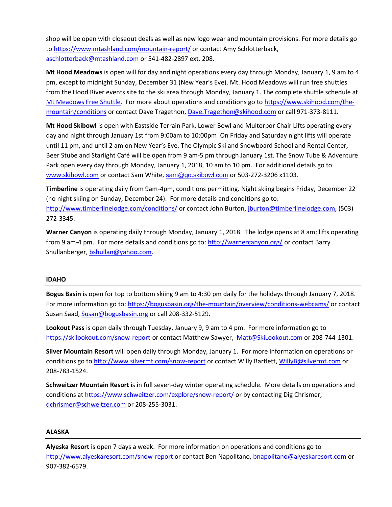shop will be open with closeout deals as well as new logo wear and mountain provisions. For more details go to<https://www.mtashland.com/mountain-report/> or contact Amy Schlotterback, [aschlotterback@mtashland.com](mailto:aschlotterback@mtashland.com) or 541-482-2897 ext. 208.

**Mt Hood Meadows** is open will for day and night operations every day through Monday, January 1, 9 am to 4 pm, except to midnight Sunday, December 31 (New Year's Eve). Mt. Hood Meadows will run free shuttles from the Hood River events site to the ski area through Monday, January 1. The complete shuttle schedule at [Mt Meadows Free Shuttle.](https://www.skihood.com/about-us/meadows-blog/posts/2017/12/mt-hood-meadows-offers-free-shuttles-from-hood-river-to-alleviate-peak-day-traffi) For more about operations and conditions go to [https://www.skihood.com/the](https://www.skihood.com/the-mountain/conditions)[mountain/conditions](https://www.skihood.com/the-mountain/conditions) or contact Dave Tragethon, [Dave.Tragethon@skihood.com](mailto:Dave.Tragethon@skihood.com) or call 971-373-8111.

**Mt Hood Skibowl** is open with Eastside Terrain Park, Lower Bowl and Multorpor Chair Lifts operating every day and night through January 1st from 9:00am to 10:00pm On Friday and Saturday night lifts will operate until 11 pm, and until 2 am on New Year's Eve. The Olympic Ski and Snowboard School and Rental Center, Beer Stube and Starlight Café will be open from 9 am-5 pm through January 1st. The Snow Tube & Adventure Park open every day through Monday, January 1, 2018, 10 am to 10 pm. For additional details go to [www.skibowl.com](http://www.skibowl.com/) or contact Sam White, [sam@go.skibowl.com](mailto:sam@go.skibowl.com) or 503-272-3206 x1103.

**Timberline** is operating daily from 9am-4pm, conditions permitting. Night skiing begins Friday, December 22 (no night skiing on Sunday, December 24). For more details and conditions go to: <http://www.timberlinelodge.com/conditions/> or contact John Burton, [jburton@timberlinelodge.com,](mailto:jburton@timberlinelodge.com) (503) 272-3345.

**Warner Canyon** is operating daily through Monday, January 1, 2018. The lodge opens at 8 am; lifts operating from 9 am-4 pm. For more details and conditions go to[: http://warnercanyon.org/](http://warnercanyon.org/) or contact Barry Shullanberger[, bshullan@yahoo.com.](mailto:bshullan@yahoo.com)

# **IDAHO**

**Bogus Basin** is open for top to bottom skiing 9 am to 4:30 pm daily for the holidays through January 7, 2018. For more information go to[: https://bogusbasin.org/the-mountain/overview/conditions-webcams/](https://bogusbasin.org/the-mountain/overview/conditions-webcams/) or contact Susan Saad, [Susan@bogusbasin.org](mailto:Susan@bogusbasin.org) or call 208-332-5129.

**Lookout Pass** is open daily through Tuesday, January 9, 9 am to 4 pm. For more information go to <https://skilookout.com/snow-report> or contact Matthew Sawyer, [Matt@SkiLookout.com](mailto:Matt@SkiLookout.com) or 208-744-1301.

**Silver Mountain Resort** will open daily through Monday, January 1. For more information on operations or conditions go t[o http://www.silvermt.com/snow-report](http://www.silvermt.com/snow-report) or contact Willy Bartlett, [WillyB@silvermt.com](mailto:WillyB@silvermt.com) or 208-783-1524.

**Schweitzer Mountain Resort** is in full seven-day winter operating schedule. More details on operations and conditions a[t https://www.schweitzer.com/explore/snow-report/](https://www.schweitzer.com/explore/snow-report/) or by contacting Dig Chrismer, [dchrismer@schweitzer.com](mailto:dchrismer@schweitzer.com) or 208-255-3031.

#### **ALASKA**

**Alyeska Resort** is open 7 days a week. For more information on operations and conditions go to <http://www.alyeskaresort.com/snow-report> or contact Ben Napolitano[, bnapolitano@alyeskaresort.com](mailto:bnapolitano@alyeskaresort.com) or 907-382-6579.